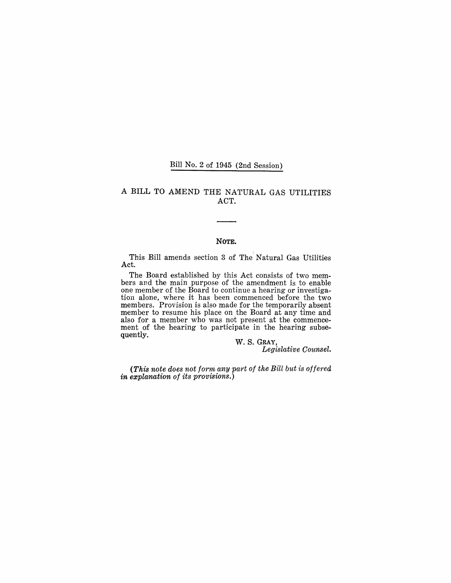## Bill No.2 of 1945 (2nd Session)

### A BILL TO AMEND THE NATURAL GAS UTILITIES ACT.

#### NOTE.

This Bill amends section 3 of The Natural Gas Utilities Act.

The Board established by this Act consists of two members and the main purpose of the amendment is to enable one member of the Board to continue a hearing or investigation alone, where it has been commenced before the two members. Provision is also made for the temporarily absent member to resume his place on the Board at any time and also for a member who was not present at the commencement of the hearing to participate in the hearing subsequently.

W. S. GRAY, *Legislative Counsel.* 

*(This note does not form any part of the Bill but is offered in explanation of its provisions.)*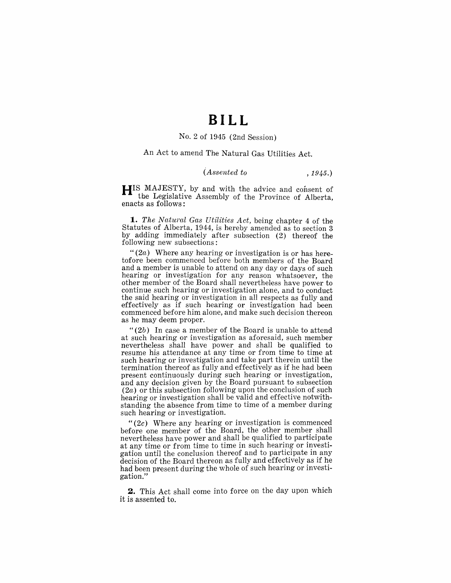## **BILL**

#### No.2 of 1945 (2nd Session)

An Act to amend The Natural Gas Utilities Act.

## *(Assented to* , 1945.)

HIS MAJESTY, by and with the advice and consent of the Legislative Assembly of the Province of Alberta, enacts as follows:

*1. The Natural Gas Ut'ilities Act,* being chapter 4 of the Statutes of Alberta, 1944, is hereby amended as to section 3 by adding immediately after subsection (2) thereof the following new subsections:

" $(2a)$  Where any hearing or investigation is or has heretofore been commenced before both members of the Board and a member is unable to attend on any day or days of such hearing or investigation for any reason whatsoever, the other member of the Board shall nevertheless have power to continue such hearing or investigation alone, and to conduct the said hearing or investigation in all respects as fully and effectively as if such hearing or investigation had been commenced before him alone, and make such decision thereon as he may deem proper.

*"(2b)* In case a member of the Board is unable to attend at such hearing or investigation as aforesaid, such member nevertheless shall have power and shall be qualified to resume his attendance at any time or from time to time at such hearing or investigation and take part therein until the termination thereof as fully and effectively as if he had been present continuously during such hearing or investigation, and any decision given by the Board pursuant to subsection  $(2a)$  or this subsection following upon the conclusion of such hearing or investigation shall be valid and effective notwithstanding the absence from time to time of a member during such hearing or investigation.

" $(2c)$  Where any hearing or investigation is commenced before one member of the Board, the other member shall nevertheless have power and shall be qualified to participate at any time or from time to time in such hearing or investigation until the conclusion thereof and to participate in any decision of the Board thereon as fully and effectively as if he had been present during the whole of such hearing or investigation."

**2.** This Act shall come into force on the day upon which it is assented to.